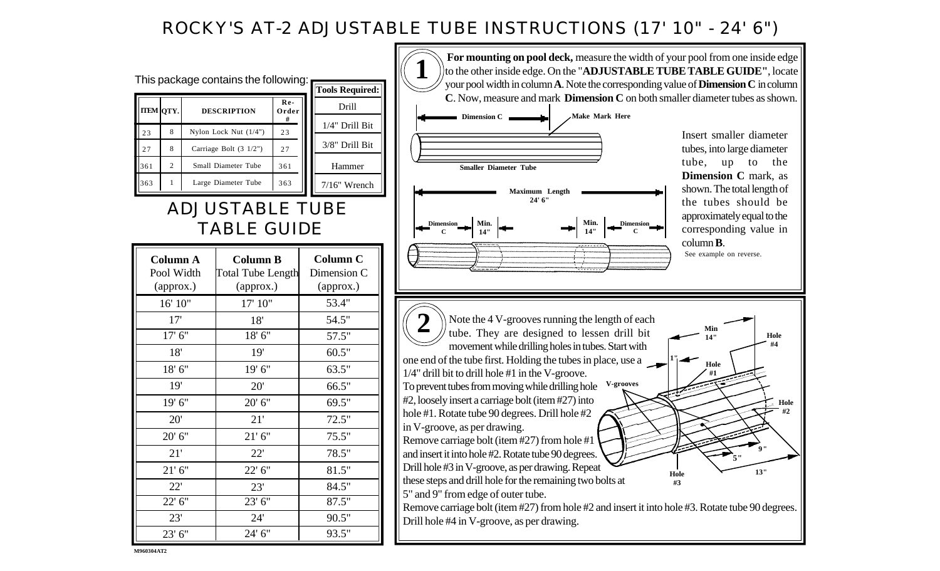## ROCKY'S AT-2 ADJUSTABLE TUBE INSTRUCTIONS (17' 10" - 24' 6")



**M960304 AT2**